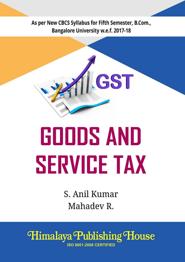As per New CBCS Syllabus for Fifth Semester, B.Com., **Bangalore University w.e.f. 2017-18** 



# **GOODS AND SERVICE TAX**

S. Anil Kumar Mahadey R.

Himalaya Publishing House **ISO 9001:2008 CERTIFIED**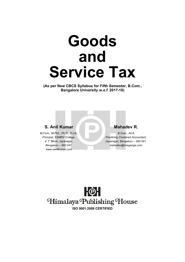## **Goods and Service Tax**

**(As per New CBCS Syllabus for Fifth Semester, B.Com., Bangalore University** *w.e.f.* **2017-18)**

#### **S. Anil Kumar Mahadev R.**

*M.Com., M.Phil., Ph.D., D.Litt., Principal, SSMRV College, 4 'T' Block, Jayanagar, Bengaluru – 560 041. www.sanilkumar.com*

*B.Com., ACA Practicing Chartered Accountant, Jayanagar, Bengaluru – 560 041. mahadev@hiregange.com*

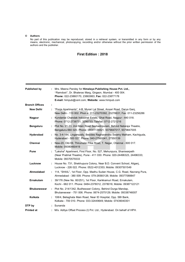#### **© Authors**

No part of this publication may be reproduced, stored in a retrieval system, or transmitted in any form or by any means, electronic, mechanical, photocopying, recording and/or otherwise without the prior written permission of the authors and the publisher.

#### **First Edition : 2018**

| <b>Published by</b>   | ÷. | Mrs. Meena Pandey for Himalaya Publishing House Pvt. Ltd.,<br>"Ramdoot", Dr. Bhalerao Marg, Girgaon, Mumbai - 400 004.<br>Phone: 022-23860170, 23863863; Fax: 022-23877178<br>E-mail: himpub@vsnl.com; Website: www.himpub.com |
|-----------------------|----|--------------------------------------------------------------------------------------------------------------------------------------------------------------------------------------------------------------------------------|
| <b>Branch Offices</b> |    |                                                                                                                                                                                                                                |
| <b>New Delhi</b>      | ÷  | "Pooja Apartments", 4-B, Murari Lal Street, Ansari Road, Darya Ganj,<br>New Delhi - 110 002. Phon e: 011-23270392, 23278631; Fax: 011-23256286                                                                                 |
| <b>Nagpur</b>         | ÷. | Kundanlal Chandak Industrial Estate, Ghat Road, Nagpur - 440 018.<br>Phone: 0712-2738731, 3296733; Telefax: 0712-2721216                                                                                                       |
| <b>Bengaluru</b>      | ÷. | Plot No. 91-33, 2nd Main Road Seshadripuram, Behind Nataraja Theatre,<br>Bengaluru-560 020. Phone: 08041138821, 9379847017, 9379847005                                                                                         |
| Hyderabad             | ÷. | No. 3-4-184, Lingampally, Besides Raghavendra Swamy Matham, Kachiguda,<br>Hyderabad - 500 027. Phone: 040-27560041, 27550139                                                                                                   |
| Chennai               |    | New-20, Old-59, Thirumalai Pillai Road, T. Nagar, Chennai - 600 017.<br>Mobile: 09380460419                                                                                                                                    |
| Pune                  | ÷. | "Laksha" Apartment, First Floor, No. 527, Mehunpura, Shaniwarpeth<br>(Near Prabhat Theatre), Pune - 411 030. Phone: 020-24496323, 24496333;<br>Mobile: 09370579333                                                             |
| Lucknow               | ÷. | House No. 731, Shekhupura Colony, Near B.D. Convent School, Aligani,<br>Lucknow - 226 022. Phone: 0522-4012353; Mobile: 09307501549                                                                                            |
| Ahmedabad             | ÷. | 114, "SHAIL", 1st Floor, Opp. Madhu Sudan House, C.G. Road, Navrang Pura,<br>Ahmedabad - 380 009. Phone: 079-26560126; Mobile: 09377088847                                                                                     |
| <b>Ernakulam</b>      | ÷. | 39/176 (New No. 60/251), 1st Floor, Karikkamuri Road, Ernakulam,<br>Kochi - 682 011. Phone: 0484-2378012, 2378016; Mobile: 09387122121                                                                                         |
| <b>Bhubaneswar</b>    | ÷. | Plot No. 214/1342, Budheswari Colony, Behind Durga Mandap,<br>Bhubaneswar - 751 006. Phone: 0674-2575129; Mobile: 09338746007                                                                                                  |
| Kolkata               |    | : 108/4, Beliaghata Main Road, Near ID Hospital, Opp. SBI Bank,<br>Kolkata - 700 010. Phone: 033-32449649; Mobile: 07439040301                                                                                                 |
| DTP by                |    | : Sunanda                                                                                                                                                                                                                      |
| <b>Printed at</b>     |    | M/s. Aditya Offset Process (I) Pvt. Ltd., Hyderabad. On behalf of HPH.                                                                                                                                                         |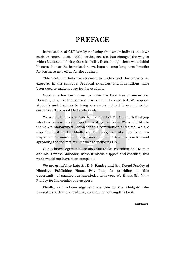## **PREFACE**

Introduction of GST law by replacing the earlier indirect tax laws such as central excise, VAT, service tax, etc. has changed the way in which business is being done in India. Even though there were initial hiccups due to the introduction, we hope to reap long-term benefits for business as well as for the country.

This book will help the students to understand the subjects as expected in the syllabus. Practical examples and illustrations have been used to make it easy for the students.

Good care has been taken to make this book free of any errors. However, to err is human and errors could be expected. We request students and teachers to bring any errors noticed to our notice for correction. This would help others also.

We would like to acknowledge the effort of Mr. Sumanth Kashyap who has been a major support in writing this book. We would like to thank Mr. Mohammed Tabish for this contribution and time. We are also thankful to CA Madhukar N. Hiregange who has been an inspiration to many for his passion in indirect tax law practice and spreading the indirect tax knowledge including GST.

Our acknowledgements are also due to Dr. Poornima Anil Kumar and Ms. Swetha Mahadev, without whose support and sacrifice, this work would not have been completed.

We are grateful to Late Sri D.P. Pandey and Sri. Neeraj Pandey of Himalaya Publishing House Pvt. Ltd., for providing us this opportunity of sharing our knowledge with you. We thank Sri. Vijay Pandey for his continuous support.

Finally, our acknowledgement are due to the Almighty who blessed us with the knowledge, required for writing this book.

#### **Authors**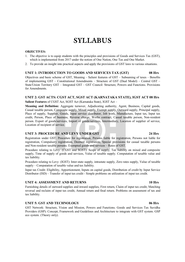## **SYLLABUS**

#### **OBJECTIVES:**

- 1. The objective is to equip students with the principles and provisions of Goods and Services Tax (GST), which is implemented from 2017 under the notion of One Nation, One Tax and One Market.
- 2. To provide an insight into practical aspects and apply the provisions of GST laws to various situations.

#### **UNIT 1: INTRODUCTION TO GOODS AND SERVICES TAX (GST) 08 Hrs**

Objectives and basic scheme of GST, Meaning – Salient features of GST – Subsuming of taxes – Benefits of implementing GST – Constitutional Amendments – Structure of GST (Dual Model) – Central GST – State/Union Territory GST – Integrated GST – GST Council: Structure, Powers and Functions. Provisions for Amendments.

#### **UNIT 2: GST ACTS: CGST ACT, SGST ACT (KARNATAKA STATE), IGST ACT 08 Hrs**

**Salient Features** of CGST Act, SGST Act (Karnataka State), IGST Act –

**Meaning and Definition:** Aggregate turnover, Adjudicating authority, Agent, Business, Capital goods, Casual taxable person, Composite supply, Mixed supply, Exempt supply, Outward supply, Principal supply, Place of supply, Supplier, Goods, Input service distributor, Job work, Manufacture, Input tax, Input tax credit, Person, Place of business, Reverse charge, Works contract, Casual taxable person, Non-resident person. Export of goods/services, Import of goods/services, Intermediary, Location of supplier of service, Location of recipient of service.

#### **UNIT 3: PROCEDURE AND LEVY UNDER GST 24 Hrs**

Registration under GST: Procedure for registration, Persons liable for registration, Persons not liable for registration, Compulsory registration, Deemed registration, Special provisions for casual taxable persons and Non-resident taxable persons. Exempted goods and services – Rates of GST.

Procedure relating to Levy: (CGST and SGST): Scope of supply, Tax liability on mixed and composite supply, Time of supply of goods and services, Value of taxable supply. Computation of taxable value and tax liability.

Procedure relating to Levy: (IGST): Inter-state supply, intrastate supply, Zero rates supply, Value of taxable supply – Computation of taxable value and tax liability.

Input tax Credit: Eligibility, Apportionment, Inputs on capital goods, Distribution of credit by Input Service Distributor (ISD) – Transfer of input tax credit - Simple problems on utilization of input tax credit.

#### **UNIT 4: ASSESSMENT AND RETURNS 10 Hrs**

Furnishing details of outward supplies and inward supplies, First return, Claim of input tax credit, Matching reversal and reclaim of input tax credit, Annual return and final return. Problems on assessment of tax and tax liability.

#### **UNIT 5: GST AND TECHNOLOGY 06 Hrs**

GST Network: Structure, Vision and Mission, Powers and Functions. Goods and Services Tax Suvidha Providers (GSP): Concept, Framework and Guidelines and Architecture to integrate with GST system. GSP eco system. (Theory only).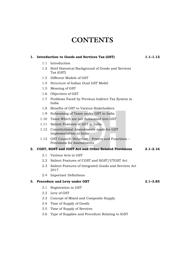## **CONTENTS**

#### **1. Introduction to Goods and Services Tax (GST) 1.1–1.12** 1.1 Introduction 1.2 Brief Historical Background of Goods and Services Tax (GST) 1.3 Different Models of GST 1.4 Structure of Indian Dual GST Model 1.5 Meaning of GST 1.6 Objectives of GST 1.7 Problems Faced by Previous Indirect Tax System in India 1.8 Benefits of GST to Various Stakeholders 1.9 Subsuming of Taxes under GST in India 1.10 Taxes Which are not Subsumed into GST 1.11 Salient Features of GST in India 1.12 Constitutional Amendments made for GST Implementation in India 1.13 GST Council: Structure – Powers and Functions – Provisions for Amendments **2. CGST, SGST and IGST Act and Other Related Provisions 2.1–2.16** 2.1 Various Acts in GST 2.2 Salient Features of CGST and SGST/UTGST Act 2.3 Salient Features of Integrated Goods and Services Act 2017 2.4 Important Definitions **3. Procedure and Levy under GST 3.1–3.85** 3.1 Registration in GST 3.2 Levy of GST 3.3 Concept of Mixed and Composite Supply 3.4 Time of Supply of Goods 3.5 Time of Supply of Services 3.6 Type of Supplies and Procedure Relating to IGST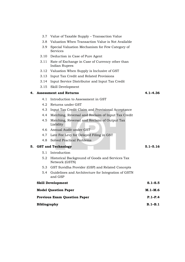- 3.7 Value of Taxable Supply Transaction Value
- 3.8 Valuation When Transaction Value is Not Available
- 3.9 Special Valuation Mechanism for Few Category of Services
- 3.10 Deduction in Case of Pure Agent
- 3.11 Rate of Exchange in Case of Currency other than Indian Rupees
- 3.12 Valuation When Supply is Inclusive of GST
- 3.13 Input Tax Credit and Related Provisions
- 3.14 Input Service Distributor and Input Tax Credit
- 3.15 Skill Development

#### **4. Assessment and Returns 4.1–4.36**

- 4.1 Introduction to Assessment in GST
- 4.2 Returns under GST
- 4.3 Input Tax Credit Claim and Provisional Acceptance
- 4.4 Matching, Reversal and Reclaim of Input Tax Credit
- 4.5 Matching, Reversal and Reclaim of Output Tax Liability
- 4.6 Annual Audit under GST
- 4.7 Late Fee Levy for Delayed Filing in GST
- 4.8 Solved Practical Problems

**5. GST and Technology 5.1–5.16** 5.1 Introduction 5.2 Historical Background of Goods and Services Tax Network (GSTN) 5.3 GST Suvidha Provider (GSP) and Related Concepts 5.4 Guidelines and Architecture for Integration of GSTN and GSP **Skill Development S.1–S.5 Model Question Paper M.1–M.6 Previous Exam Question Paper P.1–P.4 Bibliography B.1–B.1**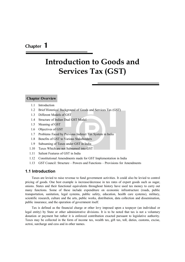### **Chapter 1**

## **Introduction to Goods and Services Tax (GST)**

#### **Chapter Overview**

- 1.1 Introduction
- 1.2 Brief Historical Background of Goods and Services Tax (GST)
- 1.3 Different Models of GST
- 1.4 Structure of Indian Dual GST Model
- 1.5 Meaning of GST
- 1.6 Objectives of GST
- 1.7 Problems Faced by Previous Indirect Tax System in India
- 1.8 Benefits of GST to Various Stakeholders
- 1.9 Subsuming of Taxes under GST in India
- 1.10 Taxes Which are not Subsumed into GST
- 1.11 Salient Features of GST in India
- 1.12 Constitutional Amendments made for GST Implementation in India
- 1.13 GST Council: Structure Powers and Functions Provisions for Amendments

#### **1.1 Introduction**

Taxes are levied to raise revenue to fund government activities. It could also be levied to control pricing of goods. One best example is increase/decrease in tax rates of export goods such as sugar, onions. States and their functional equivalents throughout history have used tax money to carry out many functions. Some of these include expenditure on economic infrastructure (roads, public transportation, sanitation, legal systems, public safety, education, health care systems), military, scientific research, culture and the arts, public works, distribution, data collection and dissemination, public insurance, and the operation of government itself.

Tax is defined as the financial charge or other levy imposed upon a taxpayer (an individual or legal entity) by State or other administrative divisions. It is to be noted that tax is not a voluntary donation or payment but rather it is enforced contribution exacted pursuant to legislative authority. Taxes may be collected in the form of income tax, wealth tax, gift tax, toll, duties, customs, excise, octroi, surcharge and cess and in other names.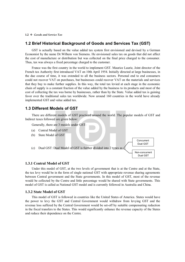#### **1.2 Brief Historical Background of Goods and Services Tax (GST)**

GST is actually based on the value added tax system first envisioned and devised by a German Economist by the name Dr.Wilhem von Siemens. He envisioned sales tax on goods that did not affect the cost of manufacture or distribution but was collected on the final price charged to the consumer. Thus, tax was always a fixed percentage charged to the customer.

France was the first country in the world to implement GST. Maurice Laurie, Joint director of the French tax Authority first introduced VAT on 10th April 1954. Initially directed at large businesses, in the due course of time, it was extended to all the business sectors. Personal end to end consumers could not recover VAT on purchases, but businesses could recover VAT on the materials and services that they buy to make further supplies. In this way, the total tax levied at each stage in the economic chain of supply is a constant fraction of the value added by the business to its products and most of the cost of collecting the tax was borne by businesses, rather than by the State. Value added tax is gaining favor over the traditional sales tax worldwide. Now around 160 countries in the world have already implemented GST and value added tax.

#### **1.3 Different Models of GST**

There are different models of GST practiced around the world. The popular models of GST and Indirect taxes followed are given below:

> Concurrent Dual GST

Non-concurrent Dual GST

Generally, there are 3 models under GST:

- (a) Central Model of GST
- (b) State Model of GST
- (c) Dual GST: Dual Model of GST is further divided into 2 types as

#### **1.3.1 Central Model of GST**

Under this model of GST, at the two levels of government that is at the Centre and at the State, the tax levy would be in the form of single national GST with appropriate revenue sharing agreements between Central government and the State governments. In this model of GST, most of the revenue would be collected by the Centre and little percentage would be shared with State governments. This model of GST is called as National GST model and is currently followed in Australia and China.

#### **1.3.2 State Model of GST**

This model of GST is followed in countries like the United States of America. States would have the power to levy the GST and Central Government would withdraw from levying GST and the revenue loss suffered by the Central Government would be set-off by suitable compensating reduction in the fiscal transfers to the States. This would significantly enhance the revenue capacity of the States and reduce their dependence on the Centre.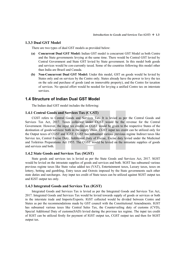#### **1.3.3 Dual GST Model**

There are two types of dual GST models as provided below:

- **(a) Concurrent Dual GST Model:** Indian GST model is concurrent GST Model as both Centre and the State governments levying at the same time. There would be Central GST levied by Central Government and State GST levied by State government. In this model both goods and services would be con-currently taxed. Some of the countries following this model other than India are Brazil and Canada.
- **(b) Non-Concurrent Dual GST Model:** Under this model, GST on goods would be levied by States only and on services by the Centre only. States already have the power to levy the tax on the sale and purchase of goods (and on immovable property), and the Centre for taxation of services. No special effort would be needed for levying a unified Centre tax on interstate services.

#### **1.4 Structure of Indian Dual GST Model**

The Indian dual GST model includes the following:

#### **1.4.1 Central Goods and Services Tax (CGST)**

CGST refers to Central Goods and Services Tax. It is levied as per the Central Goods and Services Tax Act, 2017. Taxes collected under CGST would be the revenue for the Central Government. However, the input tax credits on CGST would be given to the respective States of the destination of goods/services/ both in the supply chain. CGST input tax credit can be utilized only for the Output taxes of CGST and IGST. CGST has subsumed various previous regime Indirect taxes like Service tax, Central Excise Duty, Additional Duty of Excise, Excise duty levied under the Medicinal and Toiletries Preparations Act 1955. The CGST would be levied on the intrastate supplies of goods and services and both.

#### **1.4.2 State Goods and Services Tax (SGST)**

State goods and services tax is levied as per the State Goods and Services Act, 2017. SGST would be levied on the intrastate supplies of goods and services and both. SGST has subsumed various previous regime taxes like State value added tax (VAT), Entertainment taxes, Luxury taxes, taxes on lottery, betting and gambling, Entry taxes and Octrois imposed by the State governments such other state duties and surcharges. Any input tax credit of State taxes can be utilized against SGST output tax and IGST output tax only.

#### **1.4.3 Integrated Goods and Services Tax (IGST)**

Integrated Goods and Services Tax is levied as per the Integrated Goods and Services Tax Act, 2017. Integrated Goods and Services Tax would be levied towards supply of goods or services or both in the interstate trade and Imports/Exports. IGST collected would be divided between Centre and States as per the recommendations made by GST council with the Constitutional Amendments. IGST has subsumed various taxes like Central Sales Tax, the Countervailing duty of customs (CVD), Special Additional Duty of customs(SAD) levied during the previous tax regime. The input tax credit of IGST can be utilized firstly for payment of IGST output tax, CGST output tax and then for SGST output tax.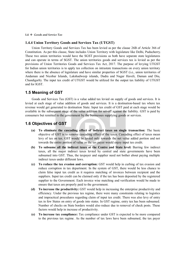#### **1.4** *Goods and Service Tax*

#### **1.4.4 Union Territory Goods and Services Tax (UTGST)**

Union Territory Goods and Services Tax has been levied as per the clause 26B of Article 366 of Constitution. As per this clause, State includes Union Territory with legislature like Delhi, Puducherry. These two union territories would have the SGST provisions as both have separate state legislatures and can operate in terms of SGST. The union territories goods and services tax is levied as per the provisions of Union Territories Goods and Services Tax Act, 2017. The purpose of levying UTGST for Indian union territories is to apply tax collection on intrastate transactions on every union territory where there is the absence of legislature and have similar properties of SGST (i.e., union territories of Andaman and Nicobar Islands, Lakshadweep islands, Dadra and Nagar Haveli, Daman and Diu, Chandigarh). The input tax credit of UTGST would be utilized for the output tax liability of UTGST and for IGST.

#### **1.5 Meaning of GST**

Goods and Services Tax (GST) is a value added tax levied on supply of goods and services. It is levied at each stage of value addition of goods and services. It is a destination-based tax where tax revenue would get generated to destination State. Input tax credit of GST paid at each stage would be available in the subsequent stage of the value addition for set-off against the liability. GST is paid by consumers but remitted to the government by the businesses supplying goods or services.

#### **1.6 Objectives of GST**

- **(a) To eliminate the cascading effect of indirect taxes on single transaction:** The basic objective of GST is to remove cascading effect of the taxes. Cascading effect of taxes mean levy of tax on tax. GST would be levied only towards the net value added portion and not towards the entire portion of value as the tax payer would enjoy input tax credit.
- **(b) To subsume all the indirect taxes at the Centre and State level:** Barring few indirect taxes, all the major indirect taxes levied by central and state governments have been subsumed into GST. Thus, the taxpayer and supplier need not bother about paying multiple indirect taxes under different laws.
- **(c) To reduce the tax evasion and corruption:** GST would help in curbing of tax evasion and reduce corruption in tax department. In the system of GST, there would be less chance to claim false input tax credit as it requires matching of invoices between recipient and the suppliers. Input tax credit can be claimed only if the tax has been deposited by the registered supplier to the Government. Each invoice wise matching and verification would be made to ensure that taxes are properly paid to the government.
- **(d) To increase the productivity:** GST would help in increasing the enterprise productivity and efficiency. Under the previous tax regime, there were many constraints relating to logistics and impractical procedures regarding claim of input tax credit. There was also levy of entry tax in few States on entry of goods into states. In GST regime, entry tax has been subsumed. Number of checks on State borders would also reduce due to removal of check posts. These factors would help in increase of productivity.
- **(e) To increase tax compliance:** Tax compliance under GST is expected to be more compared to the previous tax regime. As the number of tax laws have been subsumed, the tax payer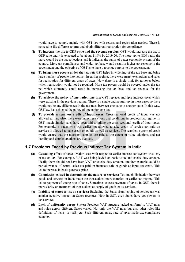would have to comply mainly with GST law with returns and registration needed. There is no need to file different returns and obtain different registration for compliance.

- **(f) To increase the tax to GDP ratio and the revenue surplus:** GST would increase the tax to GDP ratio and it is expected to be about 11.9% by 2019-20. The more tax to GDP ratio, the more would be the tax collections and it indicates the status of better economic system of the country. More tax compliances and wider tax base would result in higher tax revenue to the government and the objective of GST is to have a revenue surplus to the government.
- **(g) To bring more people under the tax net:** GST helps in widening of the tax base and bring large number of people into tax net. In earlier regime, there were many exemptions and rules for registration for different types of taxes. Now there is a single limit for turnover below which registration would not be required. More tax payers would be covered under the tax net which ultimately could result in increasing the tax base and tax revenue for the government.
- **(h) To achieve the policy of one nation one tax:** GST replaces multiple indirect taxes which were existing in the previous regime. There is a single and neutral tax in most cases so there would not be any differences in the tax rates between one state to another state. In this way, GST law has achieved the policy of one nation one tax.
- **(i) To provide a seamless credit of input taxes:** Cross-sectional credit of input was not allowed earlier. Also, there were many restrictions and conditions in previous tax regime. In GST, much simpler rules have been laid to utilize the cross-sectional credit of input taxes. For example, a trader who was earlier not allowed to take credit of service tax paid on services is allowed to take credit on goods as well as services. The seamless system of credit would ensure that the taxes on supplies are paid to the extent of value additions and net liability and double taxations are avoided.

#### **1.7 Problems Faced by Previous Indirect Tax System in India**

- **(a) Cascading effect of taxes:** Major issue with respect to earlier indirect tax system was levy of tax on tax. For example, VAT was being levied on basic value and excise duty amount. Ideally there should not have been VAT on excise duty amount. Another example could be non-allowance of central sales tax paid on interstate sale of goods as input tax credit. This led to increase in basic purchase price.
- **(b) Complexity existed in determining the nature of services:** Too much distinction between goods and services in India made the transactions more complex in earlier tax regime. This led to payment of wrong rate of taxes. Sometimes excess payment of taxes. In GST, there is more clarity on treatment of transactions as supply of goods or as services.
- **(c) Inability of states to tax on services:** Excluding the States from levying of service tax was another negative impact on States revenues. Now in GST, even States have got powers to tax services.
- **(d) Lack of uniformity across States:** Previous VAT structure lacked uniformity. VAT rates and rules across different States varied. Not only the VAT rates but also other rules like definitions of items, set-offs, etc. Such different rules, rate of taxes made tax compliance complex.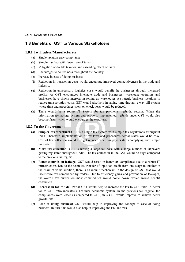#### **1.8 Benefits of GST to Various Stakeholders**

#### **1.8.1 To Traders/Manufacturers**

- (a) Single taxation easy compliance
- (b) Simpler tax law with fewer rate of taxes
- (c) Mitigation of double taxation and cascading effect of taxes
- (d) Encourages to do business throughout the country
- (e) Increase in ease of doing business
- (f) Reduction in transaction costs would encourage improved competitiveness in the trade and Industry.
- (g) Reduction in unnecessary logistics costs would benefit the businesses through increased profits. As GST encourages interstate trade and businesses, warehouse operators and businesses have shown interests in setting up warehouses at strategic business locations to reduce transportation costs. GST would also help in saving time through e-way bill system where time and procedures spent on check posts would be reduced.
- (h) There would be a robust IT System for tax payments, refunds, returns. When the information technology system gets properly implemented, refunds under GST would also become faster which would encourage the exporters.

#### **1.8.2 To the Government**

- **(a) Simpler tax structure:** GST is a single tax system with simple tax regulations throughout India. Therefore, implementation of tax laws and procedures across states would be easy. Cost of tax collection would also get reduced when tax payers starts complying with simple tax system.
- **(b) More tax collection:** GST is having a large tax base with a large number of taxpayers getting registered throughout India. The tax collection in the GST would be huge compared to the previous tax regime.
- **(c) Better controls on leakage:** GST would result in better tax compliance due to a robust IT infrastructure. Due to the seamless transfer of input tax credit from one stage to another in the chain of value addition, there is an inbuilt mechanism in the design of GST that would incentivize tax compliance by traders. Due to efficiency gains and prevention of leakages, the overall tax burden on most commodities would come down, which would benefit consumers.
- **(d) Increase in tax to GDP ratio:** GST would help to increase the tax to GDP ratio. A better tax to GDP ratio indicates a healthier economic system. In the previous tax regime, the compliances were lesser as compared to GDP, thus GST would improve to achieve better growth rate.
- **(e) Ease of doing business:** GST would help in improving the concept of ease of doing business. In turn, this would also help in improving the FDI inflows.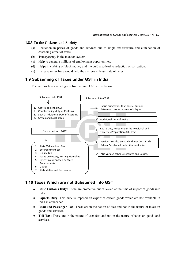#### **1.8.3 To the Citizens and Society**

- (a) Reduction in prices of goods and services due to single tax structure and elimination of cascading effect of taxes.
- (b) Transparency in the taxation system.
- (c) Help to generate millions of employment opportunities.
- (d) Helps in curbing of black money and it would also lead to reduction of corruption.
- (e) Increase in tax base would help the citizens in lesser rate of taxes.

#### **1.9 Subsuming of Taxes under GST in India**

The various taxes which got subsumed into GST are as below:



#### **1.10 Taxes Which are not Subsumed into GST**

- **Basic Customs Duty:** These are protective duties levied at the time of import of goods into India.
- **Exports Duty:** This duty is imposed on export of certain goods which are not available in India in abundance.
- **Road and Passenger Tax:** These are in the nature of fees and not in the nature of taxes on goods and services.
- **Toll Tax:** These are in the nature of user fees and not in the nature of taxes on goods and services.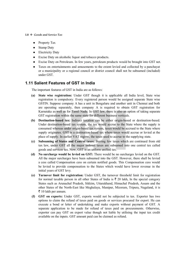#### **1.8** *Goods and Service Tax*

- Property Tax
- Stamp Duty
- Electricity Duty
- Excise Duty on alcoholic liquor and tobacco products.
- Excise Duty on Petroleum. In few years, petroleum products would be brought into GST net.
- Taxes on entertainments and amusements to the extent levied and collected by a panchayat or a municipality or a regional council or district council shall not be subsumed (included) under GST.

#### **1.11 Salient Features of GST in India**

The important features of GST in India are as follows:

- **(a) State wise registration:** Under GST though it is applicable all India level, State wise registration is compulsory. Every registered person would be assigned separate State wise GSTIN. Suppose company A has a unit in Bengaluru and another unit in Chennai and both are operating separately, then company A is required to obtain GST registration for Karnataka as well as for Tamil Nadu. In GST law, there is also an option of taking separate GST registration within the same state for different business verticals.
- **(b) Destination-based tax:** Indirect taxation can be either origin-based or destination-based. Under destination-based tax system, the tax would accrue to the State where the supply is consumed whereas under origin-based tax system, taxes would be accrued to the State where supply originates. GST is a destination-based tax where taxes would accrue or levied at the place of supply. In earlier VAT regime, the taxes used to accrue to the supplying state.
- **(c) Subsuming of States and Central taxes:** Barring few taxes which are continued from old tax law, under GST all the major indirect taxes are subsumed into one central tax called goods and services tax. Now, GST is an unform unified tax.
- **(d) No surcharge would be levied on GST:** There would be no surcharges levied on the GST. All the major surcharges have been subsumed into the GST. However, there shall be levied a cess called Compensation cess on certain notified goods. This Compensation cess would be levied to provide compensation to the States which would have lower revenue in the initial years of GST levy.
- **(e) Turnover limit for registration:** Under GST, the turnover threshold limit for registration for normal taxable person in all other States of India is  $\bar{\tau}$  20 lakh, In the special category States such as Arunachal Pradesh, Sikkim, Uttarakhand, Himachal Pradesh, Assam and the other States of the North-East like Meghalaya, Manipur, Mizoram, Tripura, Nagaland, it is  $\bar{\tau}$  10 lakh per annum.
- **(f) GST on exports:** Under GST, exports would not be subjected to tax. Exporter has two options to claim the refund of taxes paid on goods or services procured for export. He can execute a bond or letter of undertaking and make exports without payment of GST. A separate application to be made for refund of taxes paid on procurements. Otherwise, exporter can pay GST on export value though not liable by utilising the input tax credit available on the inputs. GST amount paid can be claimed as refund.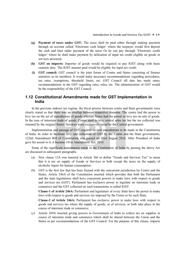- **(g) Payment of taxes under GST:** The taxes shall be paid either through making payment through an account called 'Electronic cash ledger' where the taxpayer would first deposit the cash and later make payment of the taxes Or he can pay through 'Electronic credit ledger' where he shall make payment by utilization of input tax credit eligible on goods or services procured.
- **(h) GST on imports:** Importer of goods would be required to pay IGST along with basic customs duty. The IGST amount paid would be eligible for input tax credit.
- **(i) GST council:** GST council is the joint forum of Centre and States consisting of finance ministers as its members. It would make necessary recommendations regarding procedures, tax rates, exemptions, threshold limits, etc. GST Council till date has made many recommendations in the GST regarding rates, rules, etc. The administration of GST would be the responsibility of the GST Council.

#### **1.12 Constitutional Amendments made for GST Implementation in India**

In the previous indirect tax regime, the fiscal powers between centre and State governments were clearly stated so that there was no overlap between respective domains. The centre had the power to levy tax on the act of manufacture of goods whereas States had the power to levy tax on sale of goods. In the case of interstate trade of goods, Centre used to levy central sales tax but the tax collected was retained by the original States. Services were exclusively taxed by the Central government.

Implementation and passage of GST required several amendments to be made in the Constitution of India. In order to facilitate levy and collection of GST by the Centre and the State governments, 122nd Amendment Bill of Constitution was passed on 03rd August 2016. After President of India gave his assent to it, it became 101st Amendment Act, 2016.

Some of the significant amendments made in the Constitution of India by passing the above Act are discussed in subsequent paragraphs.

- (a) New clause 12A was inserted in Article 366 to define "Goods and Services Tax" to mean that it is tax on supply of Goods or Services or both except the taxes on the supply of alcoholic liquor for human consumption.
- (b) GST is the first law that has been framed with the concurrent jurisdiction by Centre and the States. Article 246A of the Constitution inserted which provides that both the Parliament and the state legislatures shall have concurrent powers to make laws with respect to goods and services tax (GST). Parliament has exclusive power to legislate on interstate trade or commerce and the GST collected on such transactions is called IGST.

**Clause-1 of Article 246A:** Parliament and legislature of every State have the power to make laws with respect to goods and services tax imposed by the Union or by such State.

**Clause-2 of Article 246A:** Parliament has exclusive power to make laws with respect to goods and services tax where the supply of goods, or of services, or both take place in the course of interstate trade or commerce.

(c) Article 269A inserted giving powers to Government of India to collect tax on supplies in course of interstate trade and commerce which shall be shared between the Union and the States as per recommendations of the GST Council. For the purpose of this clause, imports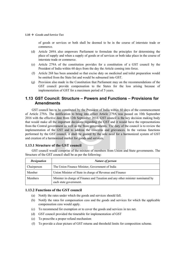#### **1.10** *Goods and Service Tax*

of goods or services or both shall be deemed to be in the course of interstate trade or commerce.

- (d) Article 269A also empowers Parliament to formulate the principles for determining the place of supply and when a supply of goods or of services or both take place in the course of interstate trade or commerce.
- (e) Article 279A of the constitution provides for a constitution of a GST council by the President of India within 60 days from the day the Article coming into force.
- (f) Article 268 has been amended so that excise duty on medicinal and toilet preparation would be omitted from the State list and would be subsumed into GST.
- (g) Provision also made in the Constitution that Parliament may on the recommendations of the GST council provide compensation to the States for the loss arising because of implementation of GST for a maximum period of 5 years.

#### **1.13 GST Council: Structure – Powers and Functions – Provisions for Amendments**

GST council has to be constituted by the President of India within 60 days of the commencement of Article 279A. The notification to bring into effect Article 279A was passed on 10th September 2016 with the effective date from 12th September 2016. GST council is the key decision making body that would make all the important decisions regarding the GST and it would have the representations from the Central government as well as the State governments. The duty of the council is to review the implementation of the GST and to address the concerns and grievances. In the various functions performed by the GST council, it shall be guided by the sole need for a harmonized system of GST and creation of a harmonized market for goods and services.

#### **1.13.1 Structure of the GST council**

GST council would comprise of the mixture of members from Union and State governments. The Structure of the GST council shall be as per the following:

| <b>Designation</b> | <b>Nature of person</b>                                                                                  |
|--------------------|----------------------------------------------------------------------------------------------------------|
| Chairperson        | The Union Finance Minister, Government of India                                                          |
| Member             | Union Minister of State in charge of Revenue and Finance                                                 |
| <b>Members</b>     | Minister in charge of Finance and Taxation and any other minister nominated by<br>each state government. |

#### **1.13.2 Functions of the GST council**

- (a) Notify the rates under which the goods and services should fall.
- (b) Notify the rates for compensation cess and the goods and services for which the applicable compensation cess would apply.
- (c) To recommend for exemption or to cover the goods and services in tax net.
- (d) GST council provided the timetable for implementation of GST
- (e) To prescribe a proper refund mechanism
- (f) To provide a clear picture of GST returns and threshold limits for composition scheme.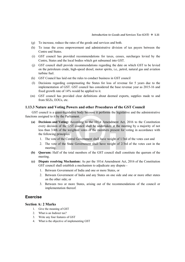- (g) To increase, reduce the rates of the goods and services and both.
- (h) To issue the cross empowerment and administrative division of tax payers between the Centre and States.
- (i) GST council has provided recommendations for taxes, cesses, surcharges levied by the Centre, States and the local bodies which got subsumed into GST.
- (j) GST council shall provide recommendations regarding the date on which GST to be levied on the petroleum crude, high-speed diesel, motor spirits, i.e., petrol, natural gas and aviation turbine fuel.
- (k) GST Council has laid out the rules to conduct business in GST council
- (l) Decisions regarding compensating the States for loss of revenue for 5 years due to the implementation of GST. GST council has considered the base revenue year as 2015-16 and fixed growth rate of 14% would be applied to it.
- (m) GST council has provided clear definitions about deemed exports, supplies made to and from SEZs, EOUs, etc.

#### **1.13.3 Nature and Voting Powers and other Procedures of the GST Council**

GST council is a quasi-legislative body because it performs the legislative and the administrative functions assigned to it by the Parliament.

- **(a) Decisions and Voting:** According to the 101st Amendment Act, 2016 to the Constitution every decision of the GST council shall be undertaken at the meeting by a majority of not less than 3/4th of the weighted votes of the members present for voting in accordance with the following principles:
	- 1. The vote of the Central Government shall have weight of 1/3rd of the votes cast and
	- 2. The vote of the State Government shall have weight of 2/3rd of the votes cast in the meeting.
- **(b) Quorum:** Half of the total members of the GST council shall constitute the quorum of the meeting.
- **(c) Dispute resolving Mechanism:** As per the 101st Amendment Act, 2016 of the Constitution GST council shall establish a mechanism to adjudicate any dispute -
	- 1. Between Government of India and one or more States, or
	- 2. Between Government of India and any States on one side and one or more other states on the other side; or
	- 3. Between two or more States, arising out of the recommendations of the council or implementation thereof.

#### **Exercise**

#### **Section A: 2 Marks**

- 1. Give the meaning of GST
- 2. What is an Indirect tax?
- 3. Write any four features of GST
- 4. What is the objective of implementing GST